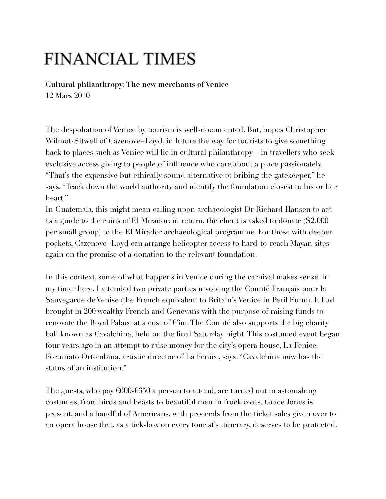## **FINANCIAL TIMES**

**Cultural philanthropy: The new merchants of Venice** 12 Mars 2010

The despoliation of Venice by tourism is well-documented. But, hopes Christopher Wilmot-Sitwell of Cazenove+Loyd, in future the way for tourists to give something back to places such as Venice will lie in cultural philanthropy – in travellers who seek exclusive access giving to people of influence who care about a place passionately. "That's the expensive but ethically sound alternative to bribing the gatekeeper," he says. "Track down the world authority and identify the foundation closest to his or her heart."

In Guatemala, this might mean calling upon archaeologist Dr Richard Hansen to act as a guide to the ruins of El Mirador; in return, the client is asked to donate (\$2,000 per small group) to the El Mirador archaeological programme. For those with deeper pockets, Cazenove+Loyd can arrange helicopter access to hard-to-reach Mayan sites – again on the promise of a donation to the relevant foundation.

In this context, some of what happens in Venice during the carnival makes sense. In my time there, I attended two private parties involving the Comité Français pour la Sauvegarde de Venise (the French equivalent to Britain's Venice in Peril Fund). It had brought in 200 wealthy French and Genevans with the purpose of raising funds to renovate the Royal Palace at a cost of €3m. The Comité also supports the big charity ball known as Cavalchina, held on the final Saturday night. This costumed event began four years ago in an attempt to raise money for the city's opera house, La Fenice. Fortunato Ortombina, artistic director of La Fenice, says: "Cavalchina now has the status of an institution."

The guests, who pay €600-€650 a person to attend, are turned out in astonishing costumes, from birds and beasts to beautiful men in frock coats. Grace Jones is present, and a handful of Americans, with proceeds from the ticket sales given over to an opera house that, as a tick-box on every tourist's itinerary, deserves to be protected.